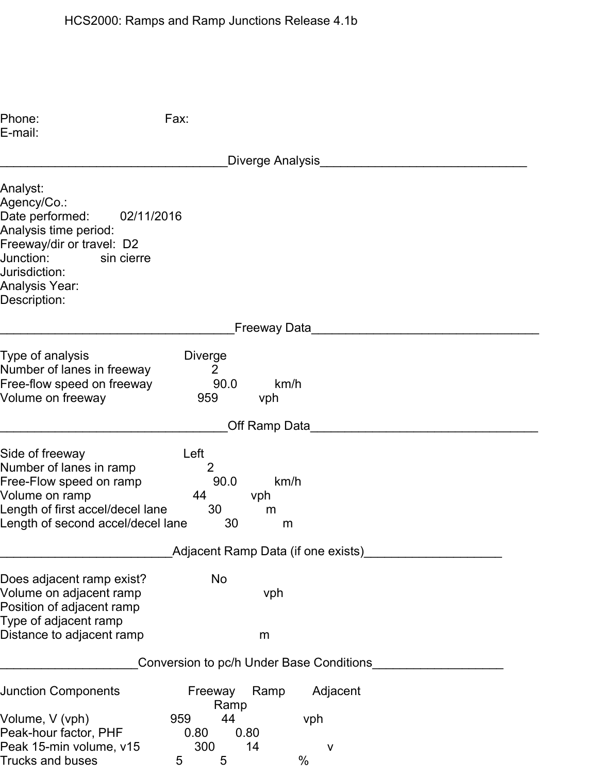| Phone:<br>E-mail:                                                                                                                                                                                   | Fax:                                                                            |
|-----------------------------------------------------------------------------------------------------------------------------------------------------------------------------------------------------|---------------------------------------------------------------------------------|
|                                                                                                                                                                                                     | Diverge Analysis                                                                |
| Analyst:<br>Agency/Co.:<br>Date performed:<br>02/11/2016<br>Analysis time period:<br>Freeway/dir or travel: D2<br>Junction:<br>sin cierre<br>Jurisdiction:<br><b>Analysis Year:</b><br>Description: |                                                                                 |
|                                                                                                                                                                                                     | Freeway Data                                                                    |
| Type of analysis<br>Number of lanes in freeway<br>Free-flow speed on freeway<br>Volume on freeway                                                                                                   | <b>Diverge</b><br>$\overline{2}$<br>90.0<br>km/h<br>959<br>vph                  |
|                                                                                                                                                                                                     | Off Ramp Data                                                                   |
| Side of freeway<br>Number of lanes in ramp<br>Free-Flow speed on ramp<br>Volume on ramp<br>Length of first accel/decel lane<br>Length of second accel/decel lane                                    | Left<br>$\overline{2}$<br>90.0<br>km/h<br>44<br>vph<br>30<br>m<br>30<br>m       |
|                                                                                                                                                                                                     | Adjacent Ramp Data (if one exists)                                              |
| Does adjacent ramp exist?<br>Volume on adjacent ramp<br>Position of adjacent ramp<br>Type of adjacent ramp<br>Distance to adjacent ramp                                                             | <b>No</b><br>vph<br>m                                                           |
|                                                                                                                                                                                                     | Conversion to pc/h Under Base Conditions                                        |
| <b>Junction Components</b>                                                                                                                                                                          | Adjacent<br>Freeway<br>Ramp<br>Ramp                                             |
| Volume, V (vph)<br>Peak-hour factor, PHF<br>Peak 15-min volume, v15<br><b>Trucks and buses</b>                                                                                                      | 44<br>959<br>vph<br>0.80<br>0.80<br>300<br>14<br>$\mathsf{V}$<br>$\%$<br>5<br>5 |